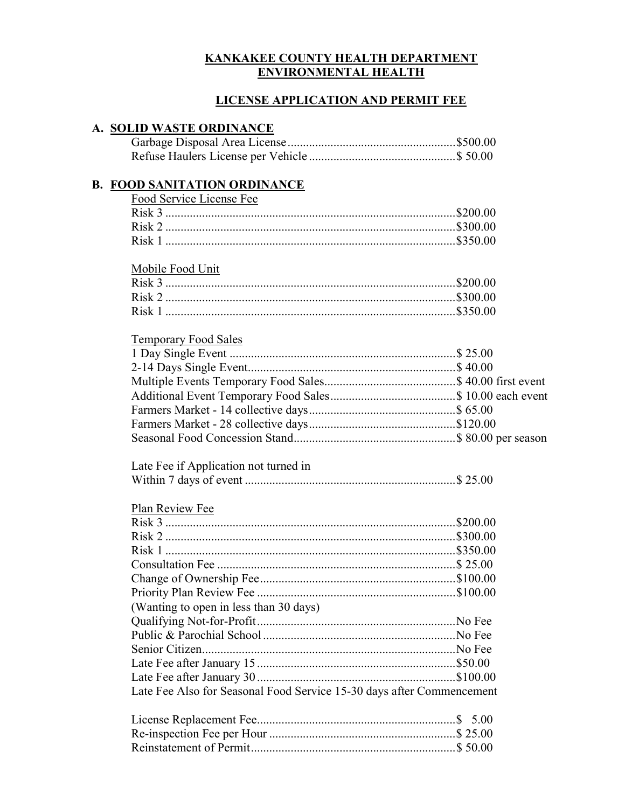## KANKAKEE COUNTY HEALTH DEPARTMENT ENVIRONMENTAL HEALTH

### LICENSE APPLICATION AND PERMIT FEE

### A. SOLID WASTE ORDINANCE

### B. FOOD SANITATION ORDINANCE

| Food Service License Fee |  |
|--------------------------|--|
|                          |  |
|                          |  |
|                          |  |

### Mobile Food Unit

## Temporary Food Sales

## Late Fee if Application not turned in Within 7 days of event ..................................................................... \$ 25.00

#### Plan Review Fee

| (Wanting to open in less than 30 days)                                |  |
|-----------------------------------------------------------------------|--|
|                                                                       |  |
|                                                                       |  |
|                                                                       |  |
|                                                                       |  |
|                                                                       |  |
| Late Fee Also for Seasonal Food Service 15-30 days after Commencement |  |